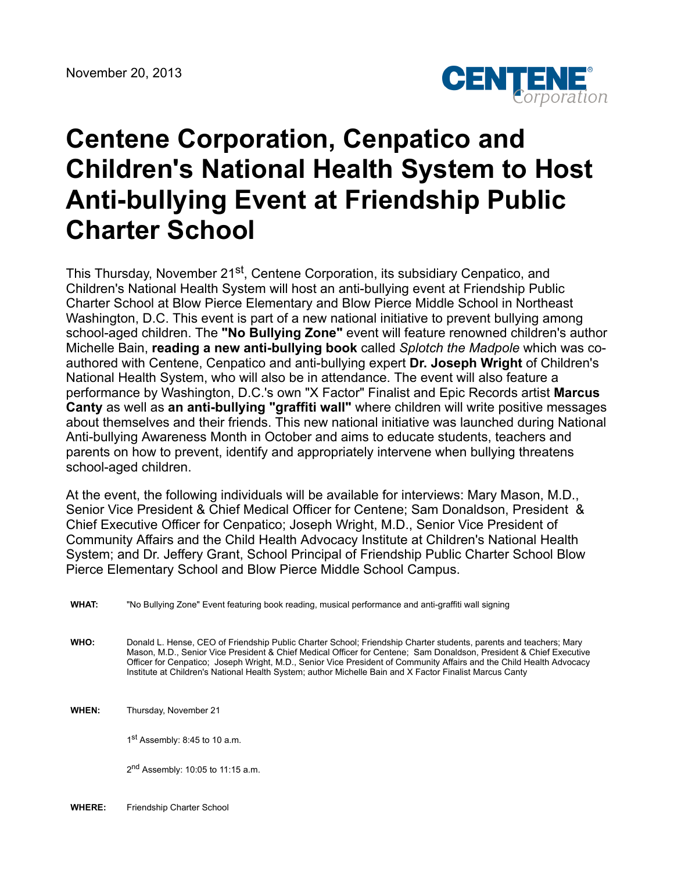

# **Centene Corporation, Cenpatico and Children's National Health System to Host Anti-bullying Event at Friendship Public Charter School**

This Thursday, November 21<sup>st</sup>, Centene Corporation, its subsidiary Cenpatico, and Children's National Health System will host an anti-bullying event at Friendship Public Charter School at Blow Pierce Elementary and Blow Pierce Middle School in Northeast Washington, D.C. This event is part of a new national initiative to prevent bullying among school-aged children. The **"No Bullying Zone"** event will feature renowned children's author Michelle Bain, **reading a new anti-bullying book** called *Splotch the Madpole* which was coauthored with Centene, Cenpatico and anti-bullying expert **Dr. Joseph Wright** of Children's National Health System, who will also be in attendance. The event will also feature a performance by Washington, D.C.'s own "X Factor" Finalist and Epic Records artist **Marcus Canty** as well as **an anti-bullying "graffiti wall"** where children will write positive messages about themselves and their friends. This new national initiative was launched during National Anti-bullying Awareness Month in October and aims to educate students, teachers and parents on how to prevent, identify and appropriately intervene when bullying threatens school-aged children.

At the event, the following individuals will be available for interviews: Mary Mason, M.D., Senior Vice President & Chief Medical Officer for Centene; Sam Donaldson, President & Chief Executive Officer for Cenpatico; Joseph Wright, M.D., Senior Vice President of Community Affairs and the Child Health Advocacy Institute at Children's National Health System; and Dr. Jeffery Grant, School Principal of Friendship Public Charter School Blow Pierce Elementary School and Blow Pierce Middle School Campus.

**WHAT:** "No Bullying Zone" Event featuring book reading, musical performance and anti-graffiti wall signing

**WHO:** Donald L. Hense, CEO of Friendship Public Charter School; Friendship Charter students, parents and teachers; Mary Mason, M.D., Senior Vice President & Chief Medical Officer for Centene; Sam Donaldson, President & Chief Executive Officer for Cenpatico; Joseph Wright, M.D., Senior Vice President of Community Affairs and the Child Health Advocacy Institute at Children's National Health System; author Michelle Bain and X Factor Finalist Marcus Canty

**WHEN:** Thursday, November 21

1<sup>st</sup> Assembly: 8:45 to 10 a.m.

2<sup>nd</sup> Assembly: 10:05 to 11:15 a.m.

**WHERE:** Friendship Charter School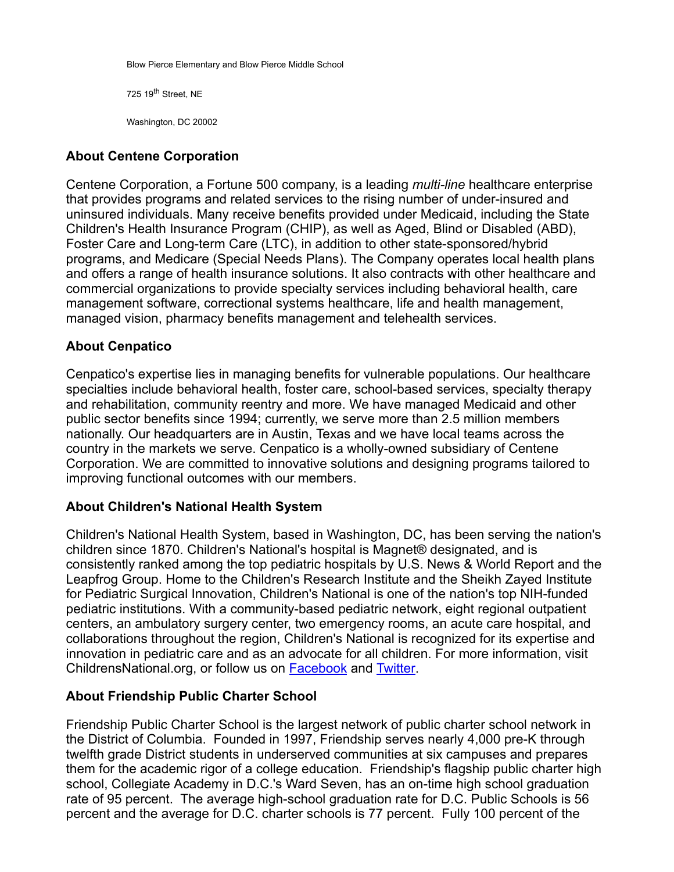Blow Pierce Elementary and Blow Pierce Middle School

725 19<sup>th</sup> Street, NE

Washington, DC 20002

# **About Centene Corporation**

Centene Corporation, a Fortune 500 company, is a leading *multi-line* healthcare enterprise that provides programs and related services to the rising number of under-insured and uninsured individuals. Many receive benefits provided under Medicaid, including the State Children's Health Insurance Program (CHIP), as well as Aged, Blind or Disabled (ABD), Foster Care and Long-term Care (LTC), in addition to other state-sponsored/hybrid programs, and Medicare (Special Needs Plans). The Company operates local health plans and offers a range of health insurance solutions. It also contracts with other healthcare and commercial organizations to provide specialty services including behavioral health, care management software, correctional systems healthcare, life and health management, managed vision, pharmacy benefits management and telehealth services.

# **About Cenpatico**

Cenpatico's expertise lies in managing benefits for vulnerable populations. Our healthcare specialties include behavioral health, foster care, school-based services, specialty therapy and rehabilitation, community reentry and more. We have managed Medicaid and other public sector benefits since 1994; currently, we serve more than 2.5 million members nationally. Our headquarters are in Austin, Texas and we have local teams across the country in the markets we serve. Cenpatico is a wholly-owned subsidiary of Centene Corporation. We are committed to innovative solutions and designing programs tailored to improving functional outcomes with our members.

### **About Children's National Health System**

Children's National Health System, based in Washington, DC, has been serving the nation's children since 1870. Children's National's hospital is Magnet® designated, and is consistently ranked among the top pediatric hospitals by U.S. News & World Report and the Leapfrog Group. Home to the Children's Research Institute and the Sheikh Zayed Institute for Pediatric Surgical Innovation, Children's National is one of the nation's top NIH-funded pediatric institutions. With a community-based pediatric network, eight regional outpatient centers, an ambulatory surgery center, two emergency rooms, an acute care hospital, and collaborations throughout the region, Children's National is recognized for its expertise and innovation in pediatric care and as an advocate for all children. For more information, visit ChildrensNational.org, or follow us on [Facebook](http://www.facebook.com/childrens.national) and [Twitter](http://www.twitter.com/childrenshealth).

### **About Friendship Public Charter School**

Friendship Public Charter School is the largest network of public charter school network in the District of Columbia. Founded in 1997, Friendship serves nearly 4,000 pre-K through twelfth grade District students in underserved communities at six campuses and prepares them for the academic rigor of a college education. Friendship's flagship public charter high school, Collegiate Academy in D.C.'s Ward Seven, has an on-time high school graduation rate of 95 percent. The average high-school graduation rate for D.C. Public Schools is 56 percent and the average for D.C. charter schools is 77 percent. Fully 100 percent of the